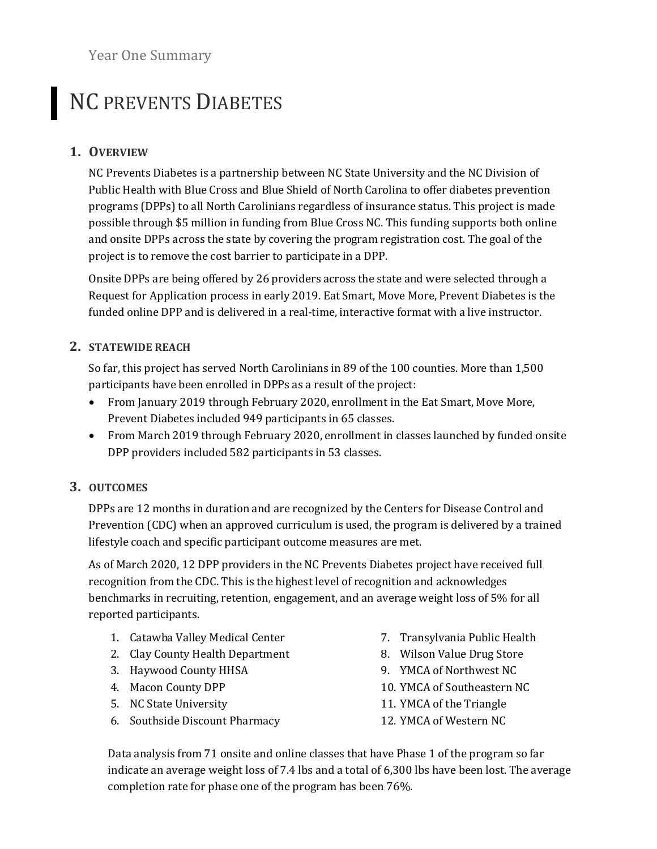Year One Summary

# NC PREVENTS DIABETES

## **1. OVERVIEW**

NC Prevents Diabetes is a partnership between NC State University and the NC Division of Public Health with Blue Cross and Blue Shield of North Carolina to offer diabetes prevention programs (DPPs) to all North Carolinians regardless of insurance status. This project is made possible through \$5 million in funding from Blue Cross NC. This funding supports both online and onsite DPPs across the state by covering the program registration cost. The goal of the project is to remove the cost barrier to participate in a DPP.

Onsite DPPs are being offered by 26 providers across the state and were selected through a Request for Application process in early 2019. Eat Smart, Move More, Prevent Diabetes is the funded online DPP and is delivered in a real-time, interactive format with a live instructor.

### **2. STATEWIDE REACH**

So far, this project has served North Carolinians in 89 of the 100 counties. More than 1,500 participants have been enrolled in DPPs as a result of the project:

- From January 2019 through February 2020, enrollment in the Eat Smart, Move More, Prevent Diabetes included 949 participants in 65 classes.
- From March 2019 through February 2020, enrollment in classes launched by funded onsite DPP providers included 582 participants in 53 classes.

## **3. OUTCOMES**

DPPs are 12 months in duration and are recognized by the Centers for Disease Control and Prevention (CDC) when an approved curriculum is used, the program is delivered by a trained lifestyle coach and specific participant outcome measures are met.

As of March 2020, 12 DPP providers in the NC Prevents Diabetes project have received full recognition from the CDC. This is the highest level of recognition and acknowledges benchmarks in recruiting, retention, engagement, and an average weight loss of 5% for all reported participants.

- 1. Catawba Valley Medical Center
- 2. Clay County Health Department
- 3. Haywood County HHSA
- 4. Macon County DPP
- 5. NC State University
- 6. Southside Discount Pharmacy
- 7. Transylvania Public Health
- 8. Wilson Value Drug Store
- 9. YMCA of Northwest NC
- 10. YMCA of Southeastern NC
- 11. YMCA of the Triangle
- 12. YMCA of Western NC

Data analysis from 71 onsite and online classes that have Phase 1 of the program so far indicate an average weight loss of 7.4 lbs and a total of  $6,300$  lbs have been lost. The average completion rate for phase one of the program has been 76%.